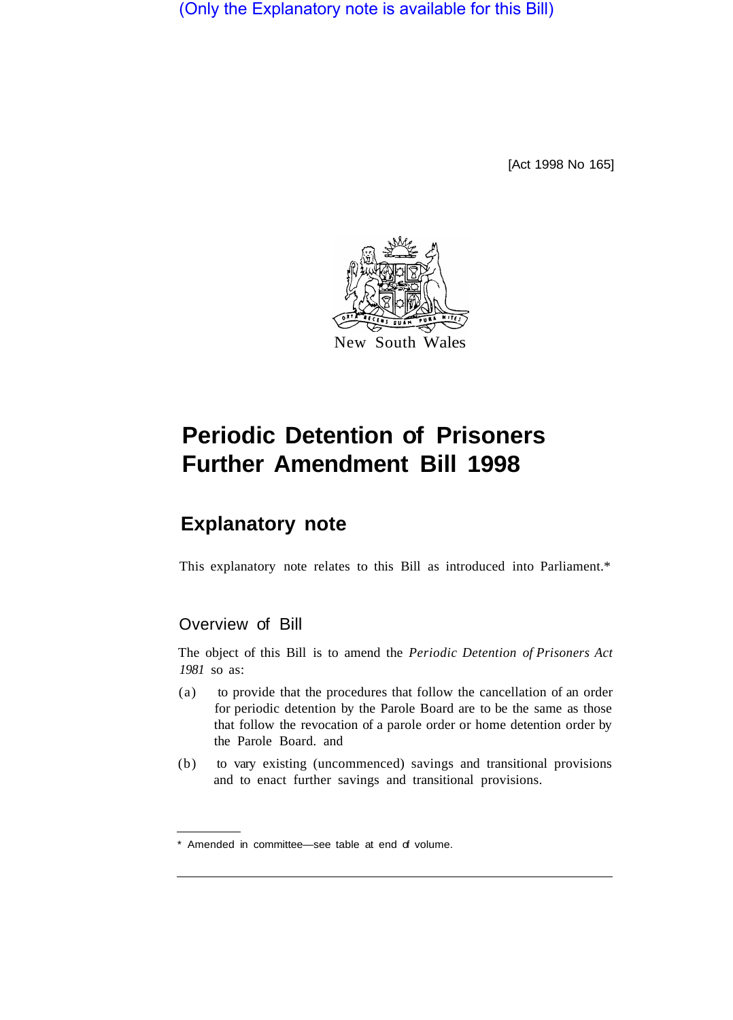(Only the Explanatory note is available for this Bill)

[Act 1998 No 165]



# **Periodic Detention of Prisoners Further Amendment Bill 1998**

## **Explanatory note**

This explanatory note relates to this Bill as introduced into Parliament.\*

### Overview of Bill

The object of this Bill is to amend the *Periodic Detention of Prisoners Act 1981* so as:

- (a) to provide that the procedures that follow the cancellation of an order for periodic detention by the Parole Board are to be the same as those that follow the revocation of a parole order or home detention order by the Parole Board. and
- (b) to vary existing (uncommenced) savings and transitional provisions and to enact further savings and transitional provisions.

<sup>\*</sup> Amended in committee—see table at end of volume.